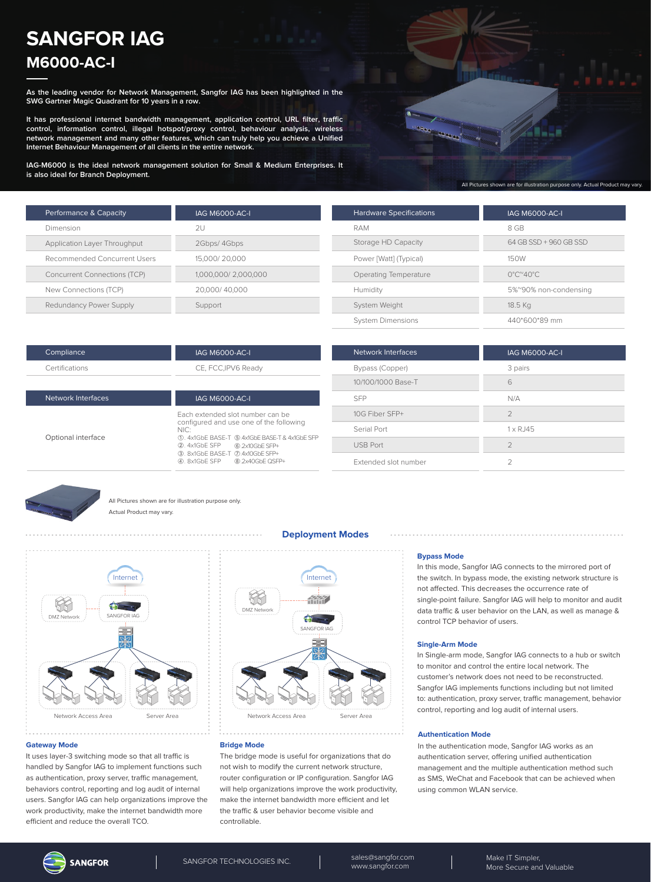# **SANGFOR IAG M6000-AC-I**

**As the leading vendor for Network Management, Sangfor IAG has been highlighted in the SWG Gartner Magic Quadrant for 10 years in a row.**

**It has professional internet bandwidth management, application control, URL filter, traffic control, information control, illegal hotspot/proxy control, behaviour analysis, wireless network management and many other features, which can truly help you achieve a Unified Internet Behaviour Management of all clients in the entire network.**

**IAG-M6000 is the ideal network management solution for Small & Medium Enterprises. It is also ideal for Branch Deployment.**



All Pictures shown are for illustration purpose only. Actual Product may vary.

| Performance & Capacity              | <b>IAG M6000-AC-I</b> |
|-------------------------------------|-----------------------|
| Dimension                           | 2U                    |
| Application Layer Throughput        | 2Gbps/ 4Gbps          |
| Recommended Concurrent Users        | 15,000/20,000         |
| <b>Concurrent Connections (TCP)</b> | 1,000,000/2,000,000   |
| New Connections (TCP)               | 20,000/40,000         |
| Redundancy Power Supply             | Support               |

| <b>Hardware Specifications</b> | <b>IAG M6000-AC-I</b>                   |
|--------------------------------|-----------------------------------------|
| RAM                            | 8 GB                                    |
| Storage HD Capacity            | 64 GB SSD + 960 GB SSD                  |
| Power [Watt] (Typical)         | 150W                                    |
| Operating Temperature          | $0^{\circ}$ C $^{\sim}$ 40 $^{\circ}$ C |
| Humidity                       | 5%~90% non-condensing                   |
| System Weight                  | 18.5 Kg                                 |
| <b>System Dimensions</b>       | 440*600*89 mm                           |

| Compliance     |  |
|----------------|--|
| Certifications |  |

# IAG M6000-AC-I

CE, FCC,IPV6 Ready

| Network Interfaces | <b>IAG M6000-AC-I</b>                                                                                                                                                                                                                            |
|--------------------|--------------------------------------------------------------------------------------------------------------------------------------------------------------------------------------------------------------------------------------------------|
| Optional interface | Fach extended slot number can be<br>configured and use one of the following<br>NIC:<br>1. 4x1GbE BASE-T (5).4x1GbE BASE-T & 4x1GbE SFP<br>2. 4x1GbE SFP 6.2x10GbE SFP+<br>3. 8x1GbE BASE-T (7).4x10GbE SFP+<br>8.2x40GbE QSFP+<br>40. 8x1GbE SFP |

| Network Interfaces   | <b>IAG M6000-AC-I</b> |
|----------------------|-----------------------|
| Bypass (Copper)      | 3 pairs               |
| 10/100/1000 Base-T   | 6                     |
| <b>SFP</b>           | N/A                   |
| 10G Fiber SFP+       | $\mathcal{P}$         |
| Serial Port          | $1 \times R$ . 145    |
| <b>USB Port</b>      | $\mathcal{P}$         |
| Extended slot number |                       |



All Pictures shown are for illustration purpose only. Actual Product may vary.



#### **Gateway Mode**

It uses layer-3 switching mode so that all traffic is handled by Sangfor IAG to implement functions such as authentication, proxy server, traffic management, behaviors control, reporting and log audit of internal users. Sangfor IAG can help organizations improve the work productivity, make the internet bandwidth more efficient and reduce the overall TCO.



**Deployment Modes**

#### **Bridge Mode**

The bridge mode is useful for organizations that do not wish to modify the current network structure, router configuration or IP configuration. Sangfor IAG will help organizations improve the work productivity, make the internet bandwidth more efficient and let the traffic & user behavior become visible and controllable.

#### **Bypass Mode**

In this mode, Sangfor IAG connects to the mirrored port of the switch. In bypass mode, the existing network structure is not affected. This decreases the occurrence rate of single-point failure. Sangfor IAG will help to monitor and audit data traffic & user behavior on the LAN, as well as manage & control TCP behavior of users.

#### **Single-Arm Mode**

In Single-arm mode, Sangfor IAG connects to a hub or switch to monitor and control the entire local network. The customer's network does not need to be reconstructed. Sangfor IAG implements functions including but not limited to: authentication, proxy server, traffic management, behavior control, reporting and log audit of internal users.

#### **Authentication Mode**

In the authentication mode, Sangfor IAG works as an authentication server, offering unified authentication management and the multiple authentication method such as SMS, WeChat and Facebook that can be achieved when using common WLAN service.

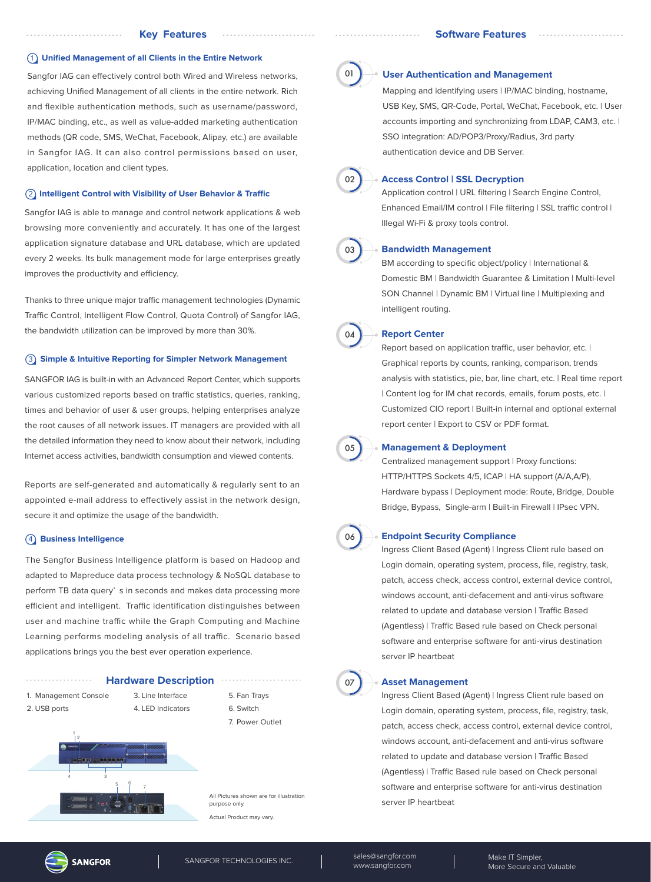#### 1 **Unified Management of all Clients in the Entire Network**

Sangfor IAG can effectively control both Wired and Wireless networks, achieving Unified Management of all clients in the entire network. Rich and flexible authentication methods, such as username/password, IP/MAC binding, etc., as well as value-added marketing authentication methods (QR code, SMS, WeChat, Facebook, Alipay, etc.) are available in Sangfor IAG. It can also control permissions based on user, application, location and client types.

#### **(2) Intelligent Control with Visibility of User Behavior & Traffic**

Sangfor IAG is able to manage and control network applications & web browsing more conveniently and accurately. It has one of the largest application signature database and URL database, which are updated every 2 weeks. Its bulk management mode for large enterprises greatly improves the productivity and efficiency.

Thanks to three unique major traffic management technologies (Dynamic Traffic Control, Intelligent Flow Control, Quota Control) of Sangfor IAG, the bandwidth utilization can be improved by more than 30%.

# 3 **Simple & Intuitive Reporting for Simpler Network Management**

SANGFOR IAG is built-in with an Advanced Report Center, which supports various customized reports based on traffic statistics, queries, ranking, times and behavior of user & user groups, helping enterprises analyze the root causes of all network issues. IT managers are provided with all the detailed information they need to know about their network, including Internet access activities, bandwidth consumption and viewed contents.

Reports are self-generated and automatically & regularly sent to an appointed e-mail address to effectively assist in the network design, secure it and optimize the usage of the bandwidth.

# 4 **Business Intelligence**

The Sangfor Business Intelligence platform is based on Hadoop and adapted to Mapreduce data process technology & NoSQL database to perform TB data query' s in seconds and makes data processing more efficient and intelligent. Traffic identification distinguishes between user and machine traffic while the Graph Computing and Machine Learning performs modeling analysis of all traffic. Scenario based applications brings you the best ever operation experience.



tual Product may vary.





#### **User Authentication and Management**

Mapping and identifying users | IP/MAC binding, hostname, USB Key, SMS, QR-Code, Portal, WeChat, Facebook, etc. | User accounts importing and synchronizing from LDAP, CAM3, etc. | SSO integration: AD/POP3/Proxy/Radius, 3rd party authentication device and DB Server.



### **Access Control | SSL Decryption**

Application control | URL filtering | Search Engine Control, Enhanced Email/IM control | File filtering | SSL traffic control | Illegal Wi-Fi & proxy tools control.



#### **Bandwidth Management**

BM according to specific object/policy | International & Domestic BM | Bandwidth Guarantee & Limitation | Multi-level SON Channel | Dynamic BM | Virtual line | Multiplexing and intelligent routing.



#### **Report Center**

Report based on application traffic, user behavior, etc. | Graphical reports by counts, ranking, comparison, trends analysis with statistics, pie, bar, line chart, etc. | Real time report | Content log for IM chat records, emails, forum posts, etc. | Customized CIO report | Built-in internal and optional external report center | Export to CSV or PDF format.



#### **Management & Deployment**

Centralized management support | Proxy functions: HTTP/HTTPS Sockets 4/5, ICAP | HA support (A/A,A/P), Hardware bypass | Deployment mode: Route, Bridge, Double Bridge, Bypass, Single-arm | Built-in Firewall | IPsec VPN.



#### **Endpoint Security Compliance**

Ingress Client Based (Agent) | Ingress Client rule based on Login domain, operating system, process, file, registry, task, patch, access check, access control, external device control, windows account, anti-defacement and anti-virus software related to update and database version | Traffic Based (Agentless) | Traffic Based rule based on Check personal software and enterprise software for anti-virus destination server IP heartbeat

# 07

#### **Asset Management**

Ingress Client Based (Agent) | Ingress Client rule based on Login domain, operating system, process, file, registry, task, patch, access check, access control, external device control, windows account, anti-defacement and anti-virus software related to update and database version | Traffic Based (Agentless) | Traffic Based rule based on Check personal software and enterprise software for anti-virus destination server IP heartbeat



SANGFOR TECHNOLOGIES INC. Sales@sangfor.com www.sangfor.com